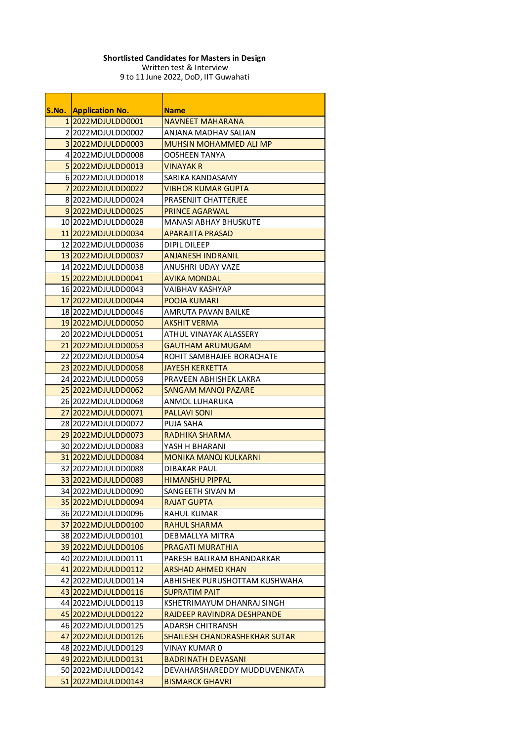| S.No.          | <b>Application No.</b>                       | <b>Name</b>                                       |
|----------------|----------------------------------------------|---------------------------------------------------|
|                | 1 2022MDJULDD0001                            | <b>NAVNEET MAHARANA</b>                           |
|                | 22022MDJULDD0002                             | ANJANA MADHAV SALIAN                              |
|                | 3 2022 MDJULD D0003                          | <b>MUHSIN MOHAMMED ALI MP</b>                     |
|                | 412022MDJULDD0008                            | <b>OOSHEEN TANYA</b>                              |
|                | 5 2022 MDJULD D0013                          | <b>VINAYAK R</b>                                  |
|                | 6 2022MDJULDD0018                            | SARIKA KANDASAMY                                  |
| 7 <sup>1</sup> | 2022MDJULDD0022                              | <b>VIBHOR KUMAR GUPTA</b>                         |
|                | 8 2022 MDJULDD0024                           | <b>PRASENJIT CHATTERJEE</b>                       |
|                | 9 2022MDJULDD0025                            | <b>PRINCE AGARWAL</b>                             |
|                | 10 2022MDJULDD0028                           | <b>MANASI ABHAY BHUSKUTE</b>                      |
|                | 11 2022MDJULDD0034                           | <b>APARAJITA PRASAD</b>                           |
|                | 12 2022MDJULDD0036                           | <b>DIPIL DILEEP</b>                               |
|                | 13 2022 MDJULDD0037                          | <b>ANJANESH INDRANIL</b>                          |
|                | 14 2022 MDJULDD0038                          | <b>ANUSHRI UDAY VAZE</b>                          |
|                | 15 2022MDJULDD0041                           | <b>AVIKA MONDAL</b>                               |
|                | 16 2022MDJULDD0043                           | <b>VAIBHAV KASHYAP</b>                            |
|                | 17 2022MDJULDD0044                           | <b>POOJA KUMARI</b>                               |
|                | 18 2022MDJULDD0046                           | <b>AMRUTA PAVAN BAILKE</b>                        |
|                | 19 2022MDJULDD0050                           | <b>AKSHIT VERMA</b>                               |
|                | 20 20 22 2 20 20 21 20 20 21                 | ATHUL VINAYAK ALASSERY                            |
|                | 21 2022MDJULDD0053                           | <b>GAUTHAM ARUMUGAM</b>                           |
|                | 22 2022 MDJULDD0054                          | ROHIT SAMBHAJEE BORACHATE                         |
|                | 23 2022 MDJULD D0058                         | <b>JAYESH KERKETTA</b>                            |
|                | 24 2022 MDJULDD0059                          | PRAVEEN ABHISHEK LAKRA                            |
|                | 25 2022 MDJULDD0062                          | <b>SANGAM MANOJ PAZARE</b>                        |
|                | 2612022MDJULDD0068                           | <b>ANMOL LUHARUKA</b>                             |
|                | 27 2022 MDJULDD0071                          | <b>PALLAVI SONI</b>                               |
|                | 2812022MDJULDD0072                           | <b>PUJA SAHA</b>                                  |
|                | 29 2022 MDJULD D0073                         | RADHIKA SHARMA                                    |
|                | 30 2022 MDJULDD0083                          | YASH H BHARANI                                    |
|                | 31 2022 MDJULDD0084                          | <b>MONIKA MANOJ KULKARNI</b>                      |
|                | 32 2022 MDJULDD 0088                         | <b>DIBAKAR PAUL</b>                               |
|                | 33 2022 MDJULDD0089                          | <b>HIMANSHU PIPPAL</b>                            |
|                | 34 2022 MDJULDD0090                          | SANGEETH SIVAN M                                  |
|                | 35 2022 MDJULDD0094                          | <b>RAJAT GUPTA</b>                                |
|                | 36 2022MDJULDD0096                           | <b>RAHUL KUMAR</b>                                |
|                | 37 2022 MDJULDD0100                          | <b>RAHUL SHARMA</b>                               |
|                | 38 2022MDJULDD0101                           | <b>DEBMALLYA MITRA</b>                            |
|                | 39 2022 MDJULDD0106                          | <b>PRAGATI MURATHIA</b>                           |
|                | 40 2022MDJULDD0111                           | PARESH BALIRAM BHANDARKAR                         |
|                | 41 2022 MDJULD D0112                         | <b>ARSHAD AHMED KHAN</b>                          |
|                | 42 2022 MDJULD D0114                         | ABHISHEK PURUSHOTTAM KUSHWAHA                     |
|                | 43 2022 MDJULD D0116                         | <b>SUPRATIM PAIT</b>                              |
|                | 44 2022 MDJULD D0119                         | KSHETRIMAYUM DHANRAJ SINGH                        |
|                | 45 2022 MDJULD D0122                         | RAJDEEP RAVINDRA DESHPANDE                        |
|                | 46 2022 MDJULD D0125                         | <b>ADARSH CHITRANSH</b>                           |
|                | 47 2022 MDJULDD0126                          | <b>SHAILESH CHANDRASHEKHAR SUTAR</b>              |
|                | 48 2022 MDJULD D0129<br>49 2022 MDJULD D0131 | <b>VINAY KUMAR 0</b><br><b>BADRINATH DEVASANI</b> |
|                | 50 2022 MDJULDD0142                          | DEVAHARSHAREDDY MUDDUVENKATA                      |
|                |                                              |                                                   |
|                | 51 2022 MDJULDD0143                          | <b>BISMARCK GHAVRI</b>                            |

## **Shortlisted Candidates for Masters in Design**

Written test & Interview 9 to 11 June 2022, DoD, IIT Guwahati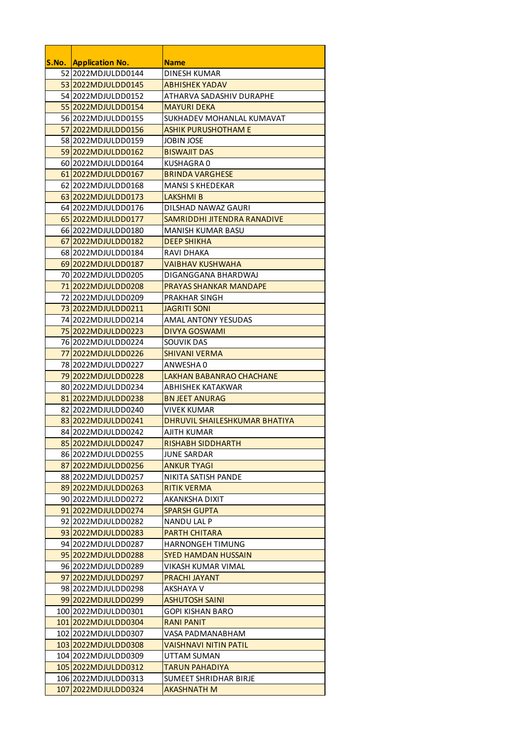| <b>S.No. Application No.</b> | <b>Name</b>                     |
|------------------------------|---------------------------------|
| 52 2022 MDJULDD0144          | <b>DINESH KUMAR</b>             |
| 53 2022 MDJULDD0145          | <b>ABHISHEK YADAV</b>           |
| 54 2022 MDJULDD0152          | ATHARVA SADASHIV DURAPHE        |
| 55 2022 MDJULDD0154          | <b>MAYURI DEKA</b>              |
| 56 2022MDJULDD0155           | SUKHADEV MOHANLAL KUMAVAT       |
| 57 2022 MDJULDD0156          | <b>ASHIK PURUSHOTHAM E</b>      |
| 58 2022 MDJULDD0159          | <b>JOBIN JOSE</b>               |
| 59 2022 MDJULDD0162          | <b>BISWAJIT DAS</b>             |
| 60 2022 MDJULDD0164          | <b>KUSHAGRA0</b>                |
| 61 2022 MDJULDD0167          | <b>BRINDA VARGHESE</b>          |
| 62 2022 MDJULDD0168          | <b>MANSI S KHEDEKAR</b>         |
| 63 2022 MDJULDD0173          | <b>LAKSHMIB</b>                 |
| 64 2022 MDJULDD0176          | <b>DILSHAD NAWAZ GAURI</b>      |
| 65 2022 MDJULDD0177          | SAMRIDDHI JITENDRA RANADIVE     |
| 66 2022MDJULDD0180           | <b>MANISH KUMAR BASU</b>        |
| 67 2022 MDJULDD0182          | <b>DEEP SHIKHA</b>              |
| 68 2022 MDJULDD0184          | <b>RAVI DHAKA</b>               |
| 69 2022 MDJULDD0187          | <b>VAIBHAV KUSHWAHA</b>         |
| 70 2022 MDJULDD 0205         | DIGANGGANA BHARDWAJ             |
| 71 2022 MDJULDD0208          | <b>PRAYAS SHANKAR MANDAPE</b>   |
| 72 2022 MDJULDD0209          | PRAKHAR SINGH                   |
| 73 2022 MDJULDD0211          | <b>JAGRITI SONI</b>             |
| 74 2022 MDJULDD 0214         | <b>AMAL ANTONY YESUDAS</b>      |
| 75 2022 MDJULDD 0223         | <b>DIVYA GOSWAMI</b>            |
| 76 2022MDJULDD0224           | <b>SOUVIK DAS</b>               |
| 77 2022 MDJULDD0226          | <b>SHIVANI VERMA</b>            |
| 78 2022 MDJULDD 0227         | ANWESHA 0                       |
| 79 2022 MDJULDD0228          | <b>LAKHAN BABANRAO CHACHANE</b> |
| 8012022MDJULDD0234           | ABHISHEK KATAKWAR               |
| 81 2022 MDJULDD0238          | <b>BN JEET ANURAG</b>           |
| 82 2022MDJULDD0240           | <b>VIVEK KUMAR</b>              |
| 83 2022 MDJULDD0241          | DHRUVIL SHAILESHKUMAR BHATIYA   |
| 84 2022 MDJULDD0242          | AJITH KUMAR                     |
| 85 2022 MDJULDD0247          | <b>RISHABH SIDDHARTH</b>        |
| 86 2022MDJULDD0255           | <b>JUNE SARDAR</b>              |
| 87 2022MDJULDD0256           | <b>ANKUR TYAGI</b>              |
| 88 2022 MDJULDD0257          | NIKITA SATISH PANDE             |
| 89 2022MDJULDD0263           | <b>RITIK VERMA</b>              |
| 90 2022MDJULDD0272           | AKANKSHA DIXIT                  |
| 91 2022 MDJULDD0274          | <b>SPARSH GUPTA</b>             |
| 92 2022MDJULDD0282           | <b>NANDU LAL P</b>              |
| 93 2022 MDJULDD0283          | <b>PARTH CHITARA</b>            |
| 94 2022 MDJULDD0287          | <b>HARNONGEH TIMUNG</b>         |
| 95 2022 MDJULDD0288          | <b>SYED HAMDAN HUSSAIN</b>      |
| 96 2022MDJULDD0289           | VIKASH KUMAR VIMAL              |
| 97 2022 MDJULDD0297          | <b>PRACHI JAYANT</b>            |
| 98 2022 MDJULDD0298          | <b>AKSHAYA V</b>                |
| 99 2022 MDJULDD0299          | <b>ASHUTOSH SAINI</b>           |
| 100 2022 MDJULDD0301         | <b>GOPI KISHAN BARO</b>         |
| 101 2022MDJULDD0304          | <b>RANI PANIT</b>               |
| 102 2022 MDJULDD0307         | VASA PADMANABHAM                |
| 103 2022 MDJULDD0308         | VAISHNAVI NITIN PATIL           |
| 104 2022 MDJULDD0309         | <b>UTTAM SUMAN</b>              |
| 105 2022MDJULDD0312          | TARUN PAHADIYA                  |
| 106 2022 MDJULDD0313         | <b>SUMEET SHRIDHAR BIRJE</b>    |
| 107 2022 MDJULDD0324         | <b>AKASHNATH M</b>              |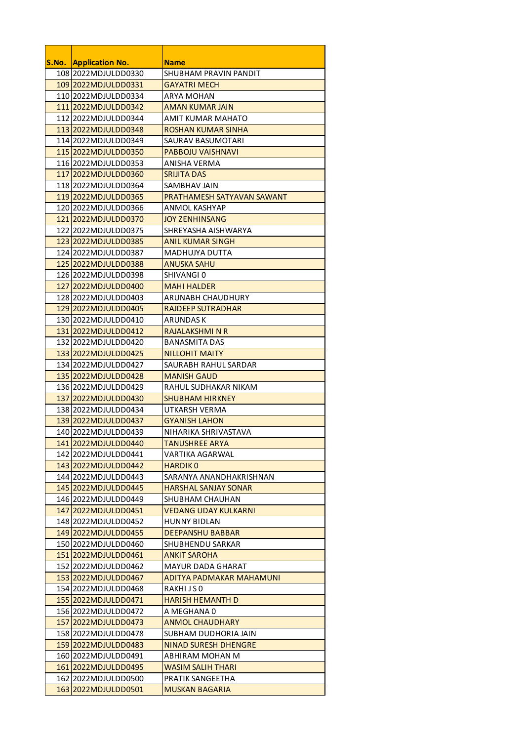| <b>S.No. Application No.</b>                 | <b>Name</b>                                    |
|----------------------------------------------|------------------------------------------------|
| 108 2022 MDJULDD0330                         | <b>SHUBHAM PRAVIN PANDIT</b>                   |
| 109 2022 MDJULDD0331                         | <b>GAYATRI MECH</b>                            |
| 110 2022 MDJULDD0334                         | <b>ARYA MOHAN</b>                              |
| 111 2022 MDJULDD0342                         | <b>AMAN KUMAR JAIN</b>                         |
| 112 2022 MDJULDD0344                         | <b>AMIT KUMAR MAHATO</b>                       |
| 113 2022 MDJULDD0348                         | <b>ROSHAN KUMAR SINHA</b>                      |
| 114 2022 MDJULDD0349                         | <b>SAURAV BASUMOTARI</b>                       |
| 115 2022 MDJULDD0350                         | <b>PABBOJU VAISHNAVI</b>                       |
| 116 2022 MDJULDD0353                         | <b>ANISHA VERMA</b>                            |
| 117 2022 MDJULDD0360                         | <b>SRIJITA DAS</b>                             |
| 118 2022 MDJULDD0364                         | <b>SAMBHAV JAIN</b>                            |
| 119 2022 MDJULDD0365                         | PRATHAMESH SATYAVAN SAWANT                     |
| 120 2022 MDJULDD0366                         | <b>ANMOL KASHYAP</b>                           |
| 121 2022 MDJULDD0370                         | <b>JOY ZENHINSANG</b>                          |
| 122 2022 MDJULDD0375                         | SHREYASHA AISHWARYA                            |
| 123 2022 MDJULDD0385                         | <b>ANIL KUMAR SINGH</b>                        |
| 124 2022 MDJULDD0387                         | <b>MADHUJYA DUTTA</b>                          |
| 125 2022 MDJULDD0388                         | <b>ANUSKA SAHU</b>                             |
| 126 2022 MDJULDD0398                         | <b>SHIVANGIO</b>                               |
| 127 2022 MDJULDD0400                         | <b>MAHI HALDER</b>                             |
| 128 2022 MDJULDD0403                         | <b>ARUNABH CHAUDHURY</b>                       |
| 129 2022 MDJULDD0405                         | <b>RAJDEEP SUTRADHAR</b>                       |
| 130 2022 MDJULDD0410                         | <b>ARUNDASK</b>                                |
| 131 2022 MDJULDD0412                         | <b>RAJALAKSHMI N R</b>                         |
| 132 2022 MDJULDD0420                         | <b>BANASMITA DAS</b>                           |
| 133 2022 MDJULDD0425                         | <b>NILLOHIT MAITY</b>                          |
| 134 2022 MDJULDD0427                         | SAURABH RAHUL SARDAR                           |
| 135 2022 MDJULDD0428                         | <b>MANISH GAUD</b>                             |
| 136 2022 MDJULDD0429                         | RAHUL SUDHAKAR NIKAM                           |
| 137 2022 MDJULDD0430                         | <b>SHUBHAM HIRKNEY</b>                         |
| 138 2022 MDJULDD0434                         | UTKARSH VERMA                                  |
| 139 2022 MDJULDD0437                         | <b>GYANISH LAHON</b>                           |
| 140 2022 MDJULDD0439                         | NIHARIKA SHRIVASTAVA                           |
| 141 2022 MDJULDD0440                         | <b>TANUSHREE ARYA</b>                          |
| 142 2022 MDJULDD0441                         | VARTIKA AGARWAL                                |
| 143 2022 MDJULDD0442                         | <b>HARDIKO</b>                                 |
| 144 2022 MDJULDD0443                         | SARANYA ANANDHAKRISHNAN                        |
| 145 2022 MDJULDD0445                         | <b>HARSHAL SANJAY SONAR</b>                    |
| 146 2022 MDJULDD0449                         | <b>SHUBHAM CHAUHAN</b>                         |
| 147 2022 MDJULD D0451                        | <b>VEDANG UDAY KULKARNI</b>                    |
| 148 2022 MDJULDD0452                         | <b>HUNNY BIDLAN</b>                            |
| 149 2022 MDJULD D0455                        | <b>DEEPANSHU BABBAR</b>                        |
| 150 2022 MDJULDD0460<br>151 2022 MDJULDD0461 | <b>SHUBHENDU SARKAR</b><br><b>ANKIT SAROHA</b> |
| 152 2022 MDJULDD0462                         | <b>MAYUR DADA GHARAT</b>                       |
| 153 2022 MDJULDD0467                         | <b>ADITYA PADMAKAR MAHAMUNI</b>                |
| 154 2022 MDJULDD0468                         | RAKHIJSO                                       |
| 155 2022 MDJULDD0471                         | <b>HARISH HEMANTH D</b>                        |
| 156 2022 MDJULDD0472                         | A MEGHANA 0                                    |
| 157 2022 MDJULDD0473                         | <b>ANMOL CHAUDHARY</b>                         |
| 158 2022 MDJULDD0478                         | <b>SUBHAM DUDHORIA JAIN</b>                    |
| 159 2022 MDJULDD0483                         | <b>NINAD SURESH DHENGRE</b>                    |
| 160 2022 MDJULDD0491                         | <b>ABHIRAM MOHAN M</b>                         |
| 161 2022MDJULDD0495                          | <b>WASIM SALIH THARI</b>                       |
| 162 2022 MDJULDD0500                         | PRATIK SANGEETHA                               |
| 163 2022 MDJULDD0501                         | <b>MUSKAN BAGARIA</b>                          |